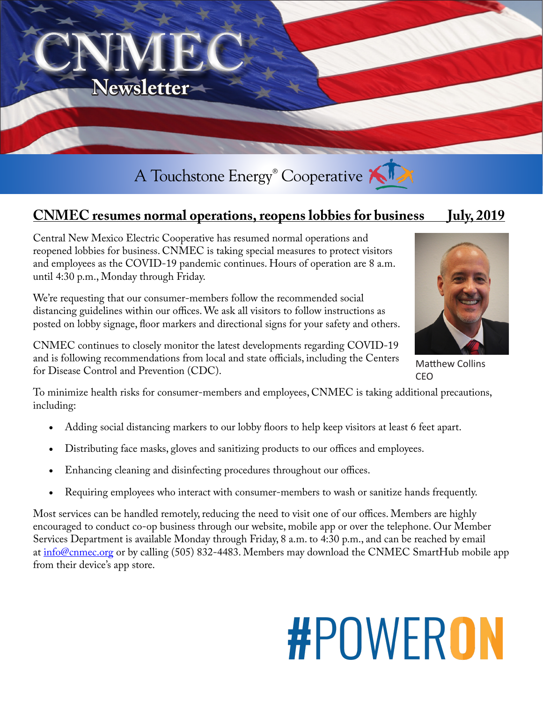

## **CNMEC resumes normal operations, reopens lobbies for business July, 2019**

Central New Mexico Electric Cooperative has resumed normal operations and reopened lobbies for business. CNMEC is taking special measures to protect visitors and employees as the COVID-19 pandemic continues. Hours of operation are 8 a.m. until 4:30 p.m., Monday through Friday.

We're requesting that our consumer-members follow the recommended social distancing guidelines within our offices. We ask all visitors to follow instructions as posted on lobby signage, floor markers and directional signs for your safety and others.



Matthew Collins CEO

CNMEC continues to closely monitor the latest developments regarding COVID-19 and is following recommendations from local and state officials, including the Centers for Disease Control and Prevention (CDC).

To minimize health risks for consumer-members and employees, CNMEC is taking additional precautions, including:

- Adding social distancing markers to our lobby floors to help keep visitors at least 6 feet apart.
- Distributing face masks, gloves and sanitizing products to our offices and employees.
- Enhancing cleaning and disinfecting procedures throughout our offices.
- Requiring employees who interact with consumer-members to wash or sanitize hands frequently.

Most services can be handled remotely, reducing the need to visit one of our offices. Members are highly encouraged to conduct co-op business through our website, mobile app or over the telephone. Our Member Services Department is available Monday through Friday, 8 a.m. to 4:30 p.m., and can be reached by email at info@cnmec.org or by calling (505) 832-4483. Members may download the CNMEC SmartHub mobile app from their device's app store.

## **#POWERON**